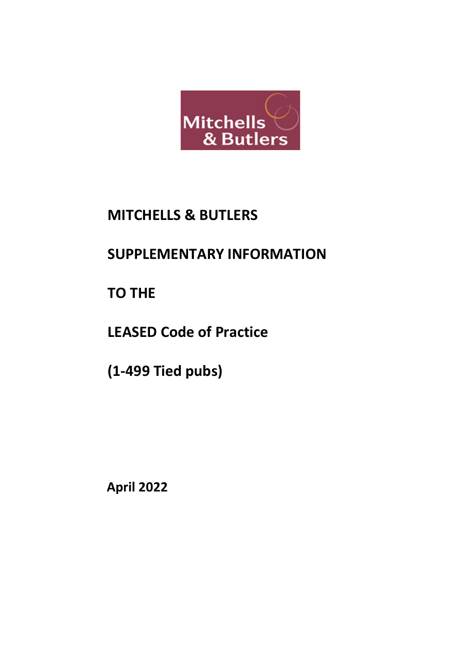

# **MITCHELLS & BUTLERS**

# **SUPPLEMENTARY INFORMATION**

**TO THE**

**LEASED Code of Practice**

**(1-499 Tied pubs)**

**April 2022**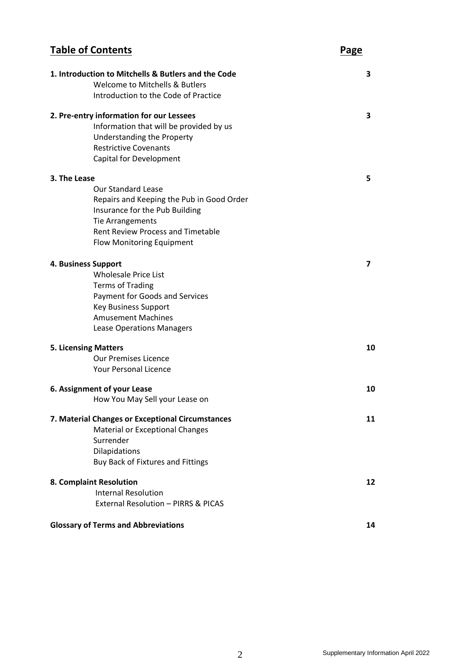### **Table of Contents Page 1. Introduction to Mitchells & Butlers and the Code 3** Welcome to Mitchells & Butlers Introduction to the Code of Practice **2. Pre-entry information for our Lessees 3** Information that will be provided by us Understanding the Property Restrictive Covenants Capital for Development **3. The Lease 5** Our Standard Lease Repairs and Keeping the Pub in Good Order Insurance for the Pub Building Tie Arrangements Rent Review Process and Timetable Flow Monitoring Equipment **4. Business Support 7** Wholesale Price List Terms of Trading Payment for Goods and Services Key Business Support Amusement Machines Lease Operations Managers **5. Licensing Matters 10** Our Premises Licence Your Personal Licence **6. Assignment of your Lease 10** How You May Sell your Lease on **7. Material Changes or Exceptional Circumstances 11** Material or Exceptional Changes Surrender Dilapidations Buy Back of Fixtures and Fittings **8. Complaint Resolution 12** Internal Resolution External Resolution – PIRRS & PICAS

#### **Glossary of Terms and Abbreviations 14**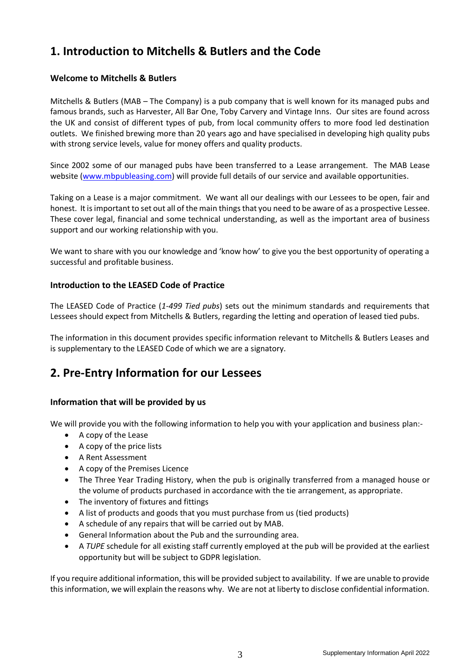## **1. Introduction to Mitchells & Butlers and the Code**

#### **Welcome to Mitchells & Butlers**

Mitchells & Butlers (MAB – The Company) is a pub company that is well known for its managed pubs and famous brands, such as Harvester, All Bar One, Toby Carvery and Vintage Inns. Our sites are found across the UK and consist of different types of pub, from local community offers to more food led destination outlets. We finished brewing more than 20 years ago and have specialised in developing high quality pubs with strong service levels, value for money offers and quality products.

Since 2002 some of our managed pubs have been transferred to a Lease arrangement. The MAB Lease website [\(www.mbpubleasing.com\)](http://www.mbpubleasing.com/) will provide full details of our service and available opportunities.

Taking on a Lease is a major commitment. We want all our dealings with our Lessees to be open, fair and honest. It is important to set out all of the main things that you need to be aware of as a prospective Lessee. These cover legal, financial and some technical understanding, as well as the important area of business support and our working relationship with you.

We want to share with you our knowledge and 'know how' to give you the best opportunity of operating a successful and profitable business.

#### **Introduction to the LEASED Code of Practice**

The LEASED Code of Practice (*1-499 Tied pubs*) sets out the minimum standards and requirements that Lessees should expect from Mitchells & Butlers, regarding the letting and operation of leased tied pubs.

The information in this document provides specific information relevant to Mitchells & Butlers Leases and is supplementary to the LEASED Code of which we are a signatory.

### **2. Pre-Entry Information for our Lessees**

#### **Information that will be provided by us**

We will provide you with the following information to help you with your application and business plan:-

- A copy of the Lease
- A copy of the price lists
- A Rent Assessment
- A copy of the Premises Licence
- The Three Year Trading History, when the pub is originally transferred from a managed house or the volume of products purchased in accordance with the tie arrangement, as appropriate.
- The inventory of fixtures and fittings
- A list of products and goods that you must purchase from us (tied products)
- A schedule of any repairs that will be carried out by MAB.
- General Information about the Pub and the surrounding area.
- A *TUPE* schedule for all existing staff currently employed at the pub will be provided at the earliest opportunity but will be subject to GDPR legislation.

If you require additional information, this will be provided subject to availability. If we are unable to provide this information, we will explain the reasons why. We are not at liberty to disclose confidential information.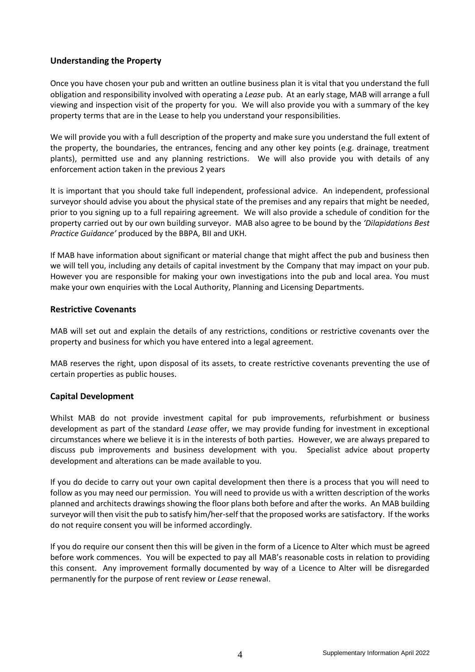#### **Understanding the Property**

Once you have chosen your pub and written an outline business plan it is vital that you understand the full obligation and responsibility involved with operating a *Lease* pub. At an early stage, MAB will arrange a full viewing and inspection visit of the property for you. We will also provide you with a summary of the key property terms that are in the Lease to help you understand your responsibilities.

We will provide you with a full description of the property and make sure you understand the full extent of the property, the boundaries, the entrances, fencing and any other key points (e.g. drainage, treatment plants), permitted use and any planning restrictions. We will also provide you with details of any enforcement action taken in the previous 2 years

It is important that you should take full independent, professional advice. An independent, professional surveyor should advise you about the physical state of the premises and any repairs that might be needed, prior to you signing up to a full repairing agreement. We will also provide a schedule of condition for the property carried out by our own building surveyor. MAB also agree to be bound by the *'Dilapidations Best Practice Guidance'* produced by the BBPA, BII and UKH.

If MAB have information about significant or material change that might affect the pub and business then we will tell you, including any details of capital investment by the Company that may impact on your pub. However you are responsible for making your own investigations into the pub and local area. You must make your own enquiries with the Local Authority, Planning and Licensing Departments.

#### **Restrictive Covenants**

MAB will set out and explain the details of any restrictions, conditions or restrictive covenants over the property and business for which you have entered into a legal agreement.

MAB reserves the right, upon disposal of its assets, to create restrictive covenants preventing the use of certain properties as public houses.

#### **Capital Development**

Whilst MAB do not provide investment capital for pub improvements, refurbishment or business development as part of the standard *Lease* offer, we may provide funding for investment in exceptional circumstances where we believe it is in the interests of both parties. However, we are always prepared to discuss pub improvements and business development with you. Specialist advice about property development and alterations can be made available to you.

If you do decide to carry out your own capital development then there is a process that you will need to follow as you may need our permission. You will need to provide us with a written description of the works planned and architects drawings showing the floor plans both before and after the works. An MAB building surveyor will then visit the pub to satisfy him/her-self that the proposed works are satisfactory. If the works do not require consent you will be informed accordingly.

If you do require our consent then this will be given in the form of a Licence to Alter which must be agreed before work commences. You will be expected to pay all MAB's reasonable costs in relation to providing this consent. Any improvement formally documented by way of a Licence to Alter will be disregarded permanently for the purpose of rent review or *Lease* renewal.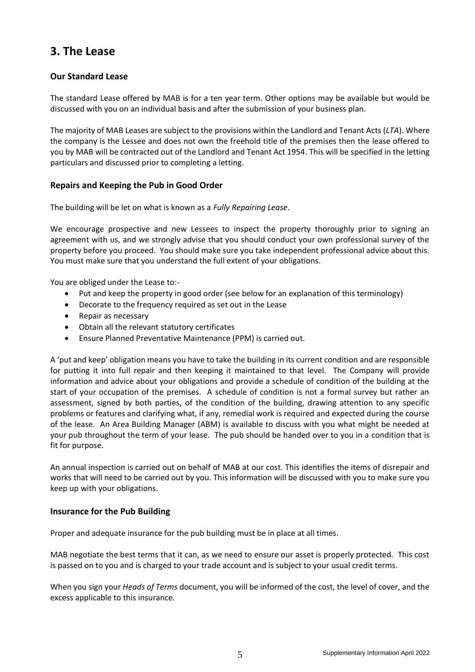### **3. The Lease**

#### **Our Standard Lease**

The standard Lease offered by MAB is for a ten year term. Other options may be available but would be discussed with you on an individual basis and after the submission of your business plan.

The majority of MAB Leases are subject to the provisions within the Landlord and Tenant Acts (*LTA*). Where the company is the Lessee and does not own the freehold title of the premises then the lease offered to you by MAB will be contracted out of the Landlord and Tenant Act 1954. This will be specified in the letting particulars and discussed prior to completing a letting.

#### **Repairs and Keeping the Pub in Good Order**

The building will be let on what is known as a *Fully Repairing Lease*.

We encourage prospective and new Lessees to inspect the property thoroughly prior to signing an agreement with us, and we strongly advise that you should conduct your own professional survey of the property before you proceed. You should make sure you take independent professional advice about this. You must make sure that you understand the full extent of your obligations.

You are obliged under the Lease to:-

- Put and keep the property in good order (see below for an explanation of this terminology)
- Decorate to the frequency required as set out in the Lease
- Repair as necessary
- Obtain all the relevant statutory certificates
- Ensure Planned Preventative Maintenance (PPM) is carried out.

A 'put and keep' obligation means you have to take the building in its current condition and are responsible for putting it into full repair and then keeping it maintained to that level. The Company will provide information and advice about your obligations and provide a schedule of condition of the building at the start of your occupation of the premises. A schedule of condition is not a formal survey but rather an assessment, signed by both parties, of the condition of the building, drawing attention to any specific problems or features and clarifying what, if any, remedial work is required and expected during the course of the lease. An Area Building Manager (ABM) is available to discuss with you what might be needed at your pub throughout the term of your lease. The pub should be handed over to you in a condition that is fit for purpose.

An annual inspection is carried out on behalf of MAB at our cost. This identifies the items of disrepair and works that will need to be carried out by you. This information will be discussed with you to make sure you keep up with your obligations.

#### **Insurance for the Pub Building**

Proper and adequate insurance for the pub building must be in place at all times.

MAB negotiate the best terms that it can, as we need to ensure our asset is properly protected. This cost is passed on to you and is charged to your trade account and is subject to your usual credit terms.

When you sign your *Heads of Terms* document, you will be informed of the cost, the level of cover, and the excess applicable to this insurance.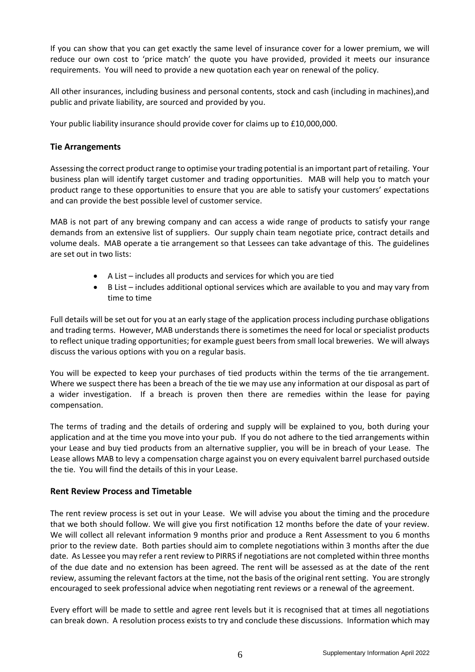If you can show that you can get exactly the same level of insurance cover for a lower premium, we will reduce our own cost to 'price match' the quote you have provided, provided it meets our insurance requirements. You will need to provide a new quotation each year on renewal of the policy.

All other insurances, including business and personal contents, stock and cash (including in machines),and public and private liability, are sourced and provided by you.

Your public liability insurance should provide cover for claims up to £10,000,000.

#### **Tie Arrangements**

Assessing the correct product range to optimise your trading potential is an important part of retailing. Your business plan will identify target customer and trading opportunities. MAB will help you to match your product range to these opportunities to ensure that you are able to satisfy your customers' expectations and can provide the best possible level of customer service.

MAB is not part of any brewing company and can access a wide range of products to satisfy your range demands from an extensive list of suppliers. Our supply chain team negotiate price, contract details and volume deals. MAB operate a tie arrangement so that Lessees can take advantage of this. The guidelines are set out in two lists:

- A List includes all products and services for which you are tied
- B List includes additional optional services which are available to you and may vary from time to time

Full details will be set out for you at an early stage of the application process including purchase obligations and trading terms. However, MAB understands there is sometimes the need for local or specialist products to reflect unique trading opportunities; for example guest beers from small local breweries. We will always discuss the various options with you on a regular basis.

You will be expected to keep your purchases of tied products within the terms of the tie arrangement. Where we suspect there has been a breach of the tie we may use any information at our disposal as part of a wider investigation. If a breach is proven then there are remedies within the lease for paying compensation.

The terms of trading and the details of ordering and supply will be explained to you, both during your application and at the time you move into your pub. If you do not adhere to the tied arrangements within your Lease and buy tied products from an alternative supplier, you will be in breach of your Lease. The Lease allows MAB to levy a compensation charge against you on every equivalent barrel purchased outside the tie. You will find the details of this in your Lease.

#### **Rent Review Process and Timetable**

The rent review process is set out in your Lease. We will advise you about the timing and the procedure that we both should follow. We will give you first notification 12 months before the date of your review. We will collect all relevant information 9 months prior and produce a Rent Assessment to you 6 months prior to the review date. Both parties should aim to complete negotiations within 3 months after the due date. As Lessee you may refer a rent review to PIRRS if negotiations are not completed within three months of the due date and no extension has been agreed. The rent will be assessed as at the date of the rent review, assuming the relevant factors at the time, not the basis of the original rent setting. You are strongly encouraged to seek professional advice when negotiating rent reviews or a renewal of the agreement.

Every effort will be made to settle and agree rent levels but it is recognised that at times all negotiations can break down. A resolution process exists to try and conclude these discussions. Information which may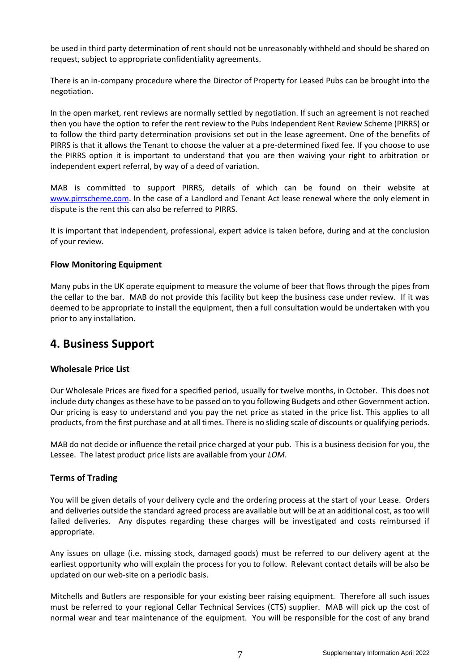be used in third party determination of rent should not be unreasonably withheld and should be shared on request, subject to appropriate confidentiality agreements.

There is an in-company procedure where the Director of Property for Leased Pubs can be brought into the negotiation.

In the open market, rent reviews are normally settled by negotiation. If such an agreement is not reached then you have the option to refer the rent review to the Pubs Independent Rent Review Scheme (PIRRS) or to follow the third party determination provisions set out in the lease agreement. One of the benefits of PIRRS is that it allows the Tenant to choose the valuer at a pre-determined fixed fee. If you choose to use the PIRRS option it is important to understand that you are then waiving your right to arbitration or independent expert referral, by way of a deed of variation.

MAB is committed to support PIRRS, details of which can be found on their website at [www.pirrscheme.com.](http://www.pirrscheme.com/) In the case of a Landlord and Tenant Act lease renewal where the only element in dispute is the rent this can also be referred to PIRRS.

It is important that independent, professional, expert advice is taken before, during and at the conclusion of your review.

#### **Flow Monitoring Equipment**

Many pubs in the UK operate equipment to measure the volume of beer that flows through the pipes from the cellar to the bar. MAB do not provide this facility but keep the business case under review. If it was deemed to be appropriate to install the equipment, then a full consultation would be undertaken with you prior to any installation.

### **4. Business Support**

#### **Wholesale Price List**

Our Wholesale Prices are fixed for a specified period, usually for twelve months, in October. This does not include duty changes as these have to be passed on to you following Budgets and other Government action. Our pricing is easy to understand and you pay the net price as stated in the price list. This applies to all products, from the first purchase and at all times. There is no sliding scale of discounts or qualifying periods.

MAB do not decide or influence the retail price charged at your pub. This is a business decision for you, the Lessee. The latest product price lists are available from your *LOM*.

#### **Terms of Trading**

You will be given details of your delivery cycle and the ordering process at the start of your Lease. Orders and deliveries outside the standard agreed process are available but will be at an additional cost, as too will failed deliveries. Any disputes regarding these charges will be investigated and costs reimbursed if appropriate.

Any issues on ullage (i.e. missing stock, damaged goods) must be referred to our delivery agent at the earliest opportunity who will explain the process for you to follow. Relevant contact details will be also be updated on our web-site on a periodic basis.

Mitchells and Butlers are responsible for your existing beer raising equipment. Therefore all such issues must be referred to your regional Cellar Technical Services (CTS) supplier. MAB will pick up the cost of normal wear and tear maintenance of the equipment. You will be responsible for the cost of any brand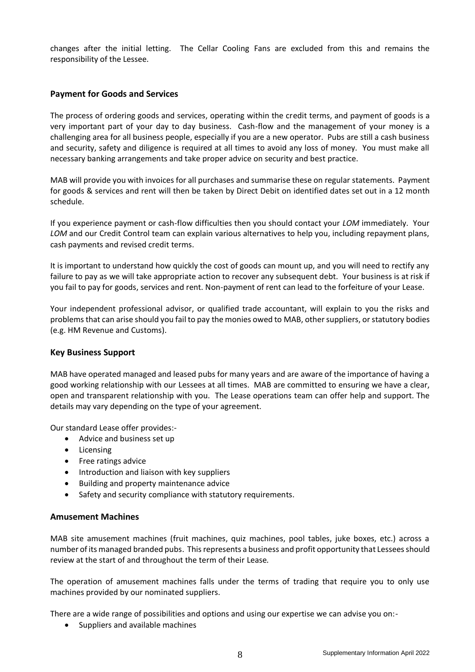changes after the initial letting. The Cellar Cooling Fans are excluded from this and remains the responsibility of the Lessee.

#### **Payment for Goods and Services**

The process of ordering goods and services, operating within the credit terms, and payment of goods is a very important part of your day to day business. Cash-flow and the management of your money is a challenging area for all business people, especially if you are a new operator. Pubs are still a cash business and security, safety and diligence is required at all times to avoid any loss of money. You must make all necessary banking arrangements and take proper advice on security and best practice.

MAB will provide you with invoices for all purchases and summarise these on regular statements. Payment for goods & services and rent will then be taken by Direct Debit on identified dates set out in a 12 month schedule.

If you experience payment or cash-flow difficulties then you should contact your *LOM* immediately. Your *LOM* and our Credit Control team can explain various alternatives to help you, including repayment plans, cash payments and revised credit terms.

It is important to understand how quickly the cost of goods can mount up, and you will need to rectify any failure to pay as we will take appropriate action to recover any subsequent debt. Your business is at risk if you fail to pay for goods, services and rent. Non-payment of rent can lead to the forfeiture of your Lease.

Your independent professional advisor, or qualified trade accountant, will explain to you the risks and problems that can arise should you fail to pay the monies owed to MAB, other suppliers, or statutory bodies (e.g. HM Revenue and Customs).

#### **Key Business Support**

MAB have operated managed and leased pubs for many years and are aware of the importance of having a good working relationship with our Lessees at all times. MAB are committed to ensuring we have a clear, open and transparent relationship with you. The Lease operations team can offer help and support. The details may vary depending on the type of your agreement.

Our standard Lease offer provides:-

- Advice and business set up
- Licensing
- Free ratings advice
- Introduction and liaison with key suppliers
- Building and property maintenance advice
- Safety and security compliance with statutory requirements.

#### **Amusement Machines**

MAB site amusement machines (fruit machines, quiz machines, pool tables, juke boxes, etc.) across a number of its managed branded pubs. This represents a business and profit opportunity that Lessees should review at the start of and throughout the term of their Lease*.*

The operation of amusement machines falls under the terms of trading that require you to only use machines provided by our nominated suppliers.

There are a wide range of possibilities and options and using our expertise we can advise you on:-

• Suppliers and available machines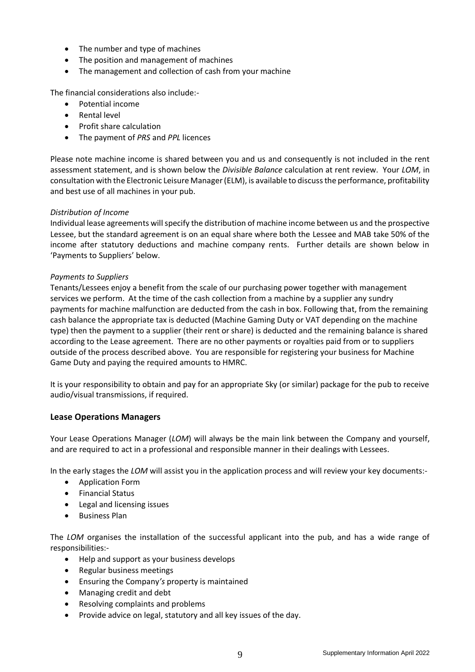- The number and type of machines
- The position and management of machines
- The management and collection of cash from your machine

The financial considerations also include:-

- Potential income
- Rental level
- Profit share calculation
- The payment of *PRS* and *PPL* licences

Please note machine income is shared between you and us and consequently is not included in the rent assessment statement, and is shown below the *Divisible Balance* calculation at rent review. Your *LOM*, in consultation with the Electronic Leisure Manager (ELM), is available to discuss the performance, profitability and best use of all machines in your pub.

#### *Distribution of Income*

Individual lease agreements will specify the distribution of machine income between us and the prospective Lessee, but the standard agreement is on an equal share where both the Lessee and MAB take 50% of the income after statutory deductions and machine company rents. Further details are shown below in 'Payments to Suppliers' below.

#### *Payments to Suppliers*

Tenants/Lessees enjoy a benefit from the scale of our purchasing power together with management services we perform. At the time of the cash collection from a machine by a supplier any sundry payments for machine malfunction are deducted from the cash in box. Following that, from the remaining cash balance the appropriate tax is deducted (Machine Gaming Duty or VAT depending on the machine type) then the payment to a supplier (their rent or share) is deducted and the remaining balance is shared according to the Lease agreement. There are no other payments or royalties paid from or to suppliers outside of the process described above. You are responsible for registering your business for Machine Game Duty and paying the required amounts to HMRC.

It is your responsibility to obtain and pay for an appropriate Sky (or similar) package for the pub to receive audio/visual transmissions, if required.

#### **Lease Operations Managers**

Your Lease Operations Manager (*LOM*) will always be the main link between the Company and yourself, and are required to act in a professional and responsible manner in their dealings with Lessees.

In the early stages the *LOM* will assist you in the application process and will review your key documents:-

- Application Form
- Financial Status
- Legal and licensing issues
- Business Plan

The *LOM* organises the installation of the successful applicant into the pub, and has a wide range of responsibilities:-

- Help and support as your business develops
- Regular business meetings
- Ensuring the Company*'s* property is maintained
- Managing credit and debt
- Resolving complaints and problems
- Provide advice on legal, statutory and all key issues of the day.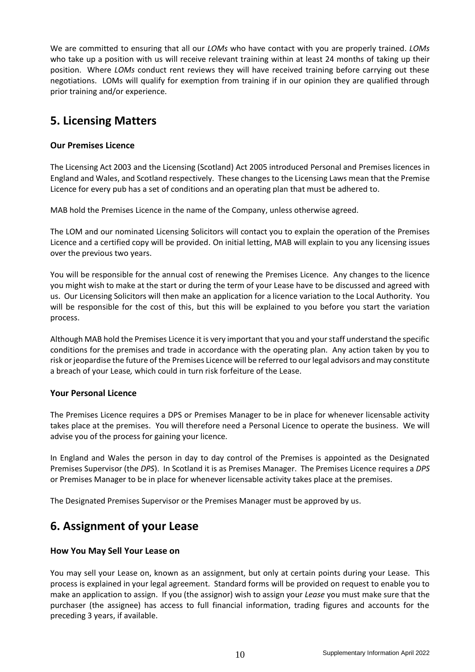We are committed to ensuring that all our *LOMs* who have contact with you are properly trained. *LOMs* who take up a position with us will receive relevant training within at least 24 months of taking up their position. Where *LOMs* conduct rent reviews they will have received training before carrying out these negotiations. LOMs will qualify for exemption from training if in our opinion they are qualified through prior training and/or experience.

## **5. Licensing Matters**

#### **Our Premises Licence**

The Licensing Act 2003 and the Licensing (Scotland) Act 2005 introduced Personal and Premises licences in England and Wales, and Scotland respectively. These changes to the Licensing Laws mean that the Premise Licence for every pub has a set of conditions and an operating plan that must be adhered to.

MAB hold the Premises Licence in the name of the Company, unless otherwise agreed.

The LOM and our nominated Licensing Solicitors will contact you to explain the operation of the Premises Licence and a certified copy will be provided. On initial letting, MAB will explain to you any licensing issues over the previous two years.

You will be responsible for the annual cost of renewing the Premises Licence. Any changes to the licence you might wish to make at the start or during the term of your Lease have to be discussed and agreed with us. Our Licensing Solicitors will then make an application for a licence variation to the Local Authority. You will be responsible for the cost of this, but this will be explained to you before you start the variation process.

Although MAB hold the Premises Licence it is very important that you and your staff understand the specific conditions for the premises and trade in accordance with the operating plan. Any action taken by you to risk or jeopardise the future of the Premises Licence will be referred to our legal advisors and may constitute a breach of your Lease*,* which could in turn risk forfeiture of the Lease.

#### **Your Personal Licence**

The Premises Licence requires a DPS or Premises Manager to be in place for whenever licensable activity takes place at the premises. You will therefore need a Personal Licence to operate the business. We will advise you of the process for gaining your licence.

In England and Wales the person in day to day control of the Premises is appointed as the Designated Premises Supervisor (the *DPS*). In Scotland it is as Premises Manager. The Premises Licence requires a *DPS* or Premises Manager to be in place for whenever licensable activity takes place at the premises.

The Designated Premises Supervisor or the Premises Manager must be approved by us.

### **6. Assignment of your Lease**

#### **How You May Sell Your Lease on**

You may sell your Lease on, known as an assignment, but only at certain points during your Lease. This process is explained in your legal agreement. Standard forms will be provided on request to enable you to make an application to assign. If you (the assignor) wish to assign your *Lease* you must make sure that the purchaser (the assignee) has access to full financial information, trading figures and accounts for the preceding 3 years, if available.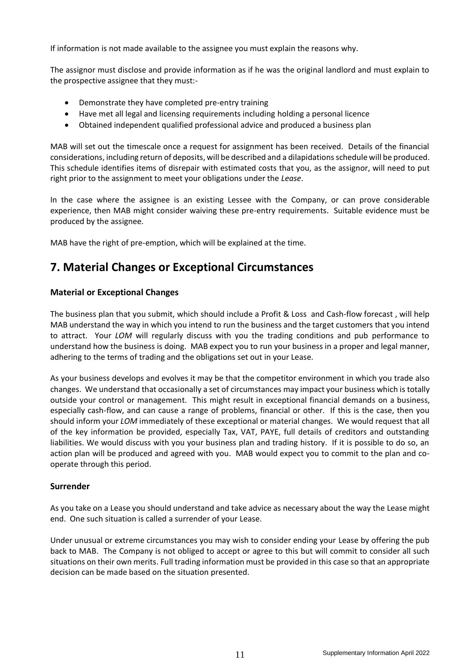If information is not made available to the assignee you must explain the reasons why.

The assignor must disclose and provide information as if he was the original landlord and must explain to the prospective assignee that they must:-

- Demonstrate they have completed pre-entry training
- Have met all legal and licensing requirements including holding a personal licence
- Obtained independent qualified professional advice and produced a business plan

MAB will set out the timescale once a request for assignment has been received. Details of the financial considerations, including return of deposits, will be described and a dilapidations schedule will be produced. This schedule identifies items of disrepair with estimated costs that you, as the assignor, will need to put right prior to the assignment to meet your obligations under the *Lease*.

In the case where the assignee is an existing Lessee with the Company, or can prove considerable experience, then MAB might consider waiving these pre-entry requirements. Suitable evidence must be produced by the assignee.

MAB have the right of pre-emption, which will be explained at the time.

### **7. Material Changes or Exceptional Circumstances**

#### **Material or Exceptional Changes**

The business plan that you submit, which should include a Profit & Loss and Cash-flow forecast , will help MAB understand the way in which you intend to run the business and the target customers that you intend to attract. Your *LOM* will regularly discuss with you the trading conditions and pub performance to understand how the business is doing. MAB expect you to run your business in a proper and legal manner, adhering to the terms of trading and the obligations set out in your Lease.

As your business develops and evolves it may be that the competitor environment in which you trade also changes. We understand that occasionally a set of circumstances may impact your business which is totally outside your control or management. This might result in exceptional financial demands on a business, especially cash-flow, and can cause a range of problems, financial or other. If this is the case, then you should inform your *LOM* immediately of these exceptional or material changes. We would request that all of the key information be provided, especially Tax, VAT, PAYE, full details of creditors and outstanding liabilities. We would discuss with you your business plan and trading history. If it is possible to do so, an action plan will be produced and agreed with you. MAB would expect you to commit to the plan and cooperate through this period.

#### **Surrender**

As you take on a Lease you should understand and take advice as necessary about the way the Lease might end. One such situation is called a surrender of your Lease.

Under unusual or extreme circumstances you may wish to consider ending your Lease by offering the pub back to MAB. The Company is not obliged to accept or agree to this but will commit to consider all such situations on their own merits. Full trading information must be provided in this case so that an appropriate decision can be made based on the situation presented.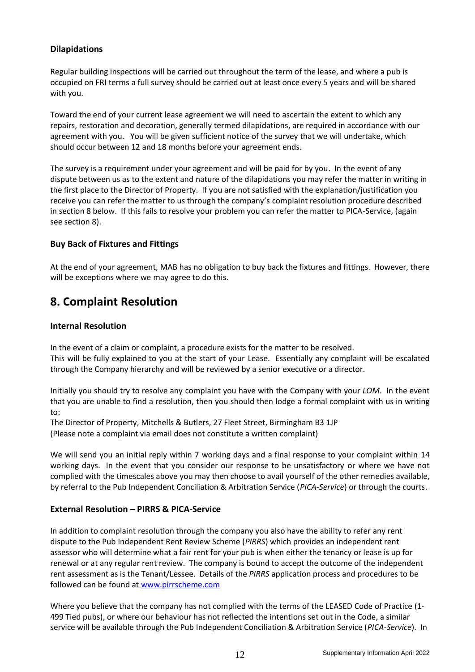#### **Dilapidations**

Regular building inspections will be carried out throughout the term of the lease, and where a pub is occupied on FRI terms a full survey should be carried out at least once every 5 years and will be shared with you.

Toward the end of your current lease agreement we will need to ascertain the extent to which any repairs, restoration and decoration, generally termed dilapidations, are required in accordance with our agreement with you. You will be given sufficient notice of the survey that we will undertake, which should occur between 12 and 18 months before your agreement ends.

The survey is a requirement under your agreement and will be paid for by you. In the event of any dispute between us as to the extent and nature of the dilapidations you may refer the matter in writing in the first place to the Director of Property. If you are not satisfied with the explanation/justification you receive you can refer the matter to us through the company's complaint resolution procedure described in section 8 below. If this fails to resolve your problem you can refer the matter to PICA-Service, (again see section 8).

#### **Buy Back of Fixtures and Fittings**

At the end of your agreement, MAB has no obligation to buy back the fixtures and fittings. However, there will be exceptions where we may agree to do this.

## **8. Complaint Resolution**

#### **Internal Resolution**

In the event of a claim or complaint, a procedure exists for the matter to be resolved. This will be fully explained to you at the start of your Lease. Essentially any complaint will be escalated through the Company hierarchy and will be reviewed by a senior executive or a director.

Initially you should try to resolve any complaint you have with the Company with your *LOM*. In the event that you are unable to find a resolution, then you should then lodge a formal complaint with us in writing to:

The Director of Property, Mitchells & Butlers, 27 Fleet Street, Birmingham B3 1JP (Please note a complaint via email does not constitute a written complaint)

We will send you an initial reply within 7 working days and a final response to your complaint within 14 working days. In the event that you consider our response to be unsatisfactory or where we have not complied with the timescales above you may then choose to avail yourself of the other remedies available, by referral to the Pub Independent Conciliation & Arbitration Service (*PICA-Service*) or through the courts.

#### **External Resolution – PIRRS & PICA-Service**

In addition to complaint resolution through the company you also have the ability to refer any rent dispute to the Pub Independent Rent Review Scheme (*PIRRS*) which provides an independent rent assessor who will determine what a fair rent for your pub is when either the tenancy or lease is up for renewal or at any regular rent review. The company is bound to accept the outcome of the independent rent assessment as is the Tenant/Lessee. Details of the *PIRRS* application process and procedures to be followed can be found at [www.pirrscheme.com](http://www.pirrscheme.com/)

Where you believe that the company has not complied with the terms of the LEASED Code of Practice (1- 499 Tied pubs), or where our behaviour has not reflected the intentions set out in the Code, a similar service will be available through the Pub Independent Conciliation & Arbitration Service (*PICA-Service*). In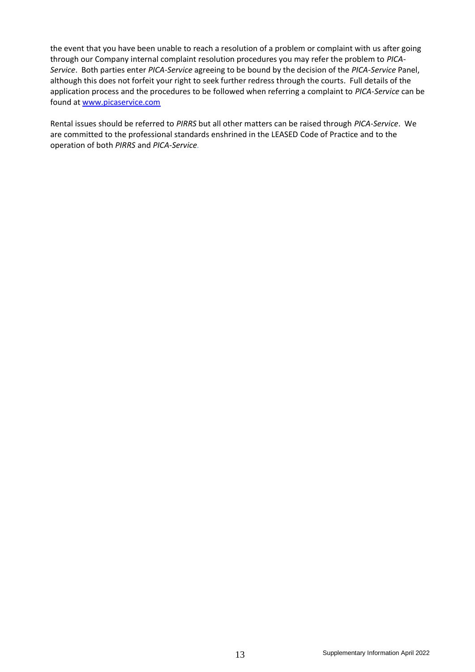the event that you have been unable to reach a resolution of a problem or complaint with us after going through our Company internal complaint resolution procedures you may refer the problem to *PICA-Service*. Both parties enter *PICA-Service* agreeing to be bound by the decision of the *PICA-Service* Panel, although this does not forfeit your right to seek further redress through the courts. Full details of the application process and the procedures to be followed when referring a complaint to *PICA-Service* can be found at [www.picaservice.com](http://www.picaservice.com/)

Rental issues should be referred to *PIRRS* but all other matters can be raised through *PICA-Service*. We are committed to the professional standards enshrined in the LEASED Code of Practice and to the operation of both *PIRRS* and *PICA-Service.*